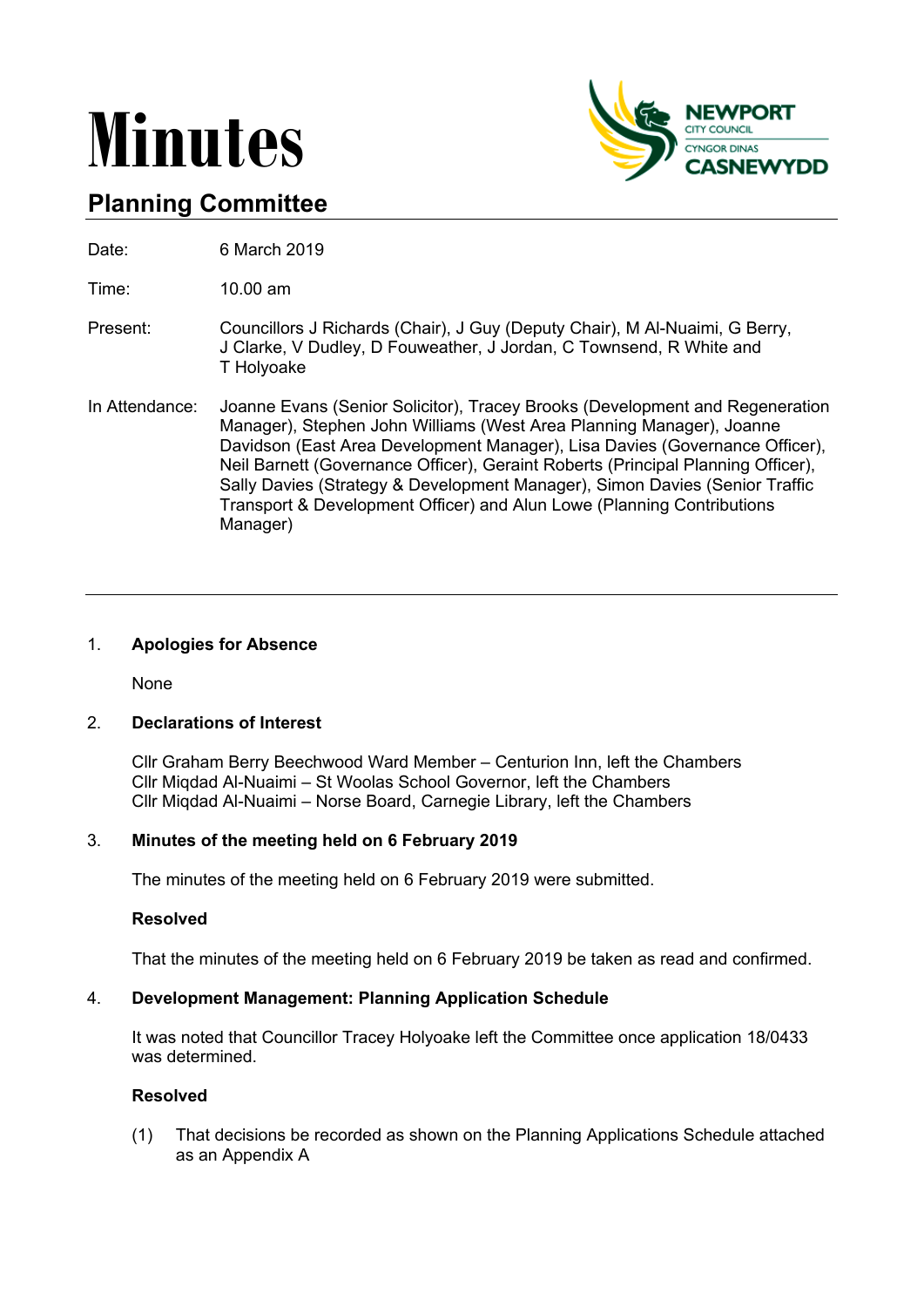# **Minutes**



# **Planning Committee**

Date: 6 March 2019

Time: 10.00 am

- Present: Councillors J Richards (Chair), J Guy (Deputy Chair), M Al-Nuaimi, G Berry, J Clarke, V Dudley, D Fouweather, J Jordan, C Townsend, R White and T Holyoake
- In Attendance: Joanne Evans (Senior Solicitor), Tracey Brooks (Development and Regeneration Manager), Stephen John Williams (West Area Planning Manager), Joanne Davidson (East Area Development Manager), Lisa Davies (Governance Officer), Neil Barnett (Governance Officer), Geraint Roberts (Principal Planning Officer), Sally Davies (Strategy & Development Manager), Simon Davies (Senior Traffic Transport & Development Officer) and Alun Lowe (Planning Contributions Manager)

# 1. **Apologies for Absence**

None

# 2. **Declarations of Interest**

Cllr Graham Berry Beechwood Ward Member – Centurion Inn, left the Chambers Cllr Miqdad Al-Nuaimi – St Woolas School Governor, left the Chambers Cllr Miqdad Al-Nuaimi – Norse Board, Carnegie Library, left the Chambers

# 3. **Minutes of the meeting held on 6 February 2019**

The minutes of the meeting held on 6 February 2019 were submitted.

#### **Resolved**

That the minutes of the meeting held on 6 February 2019 be taken as read and confirmed.

#### 4. **Development Management: Planning Application Schedule**

It was noted that Councillor Tracey Holyoake left the Committee once application 18/0433 was determined.

## **Resolved**

(1) That decisions be recorded as shown on the Planning Applications Schedule attached as an Appendix A